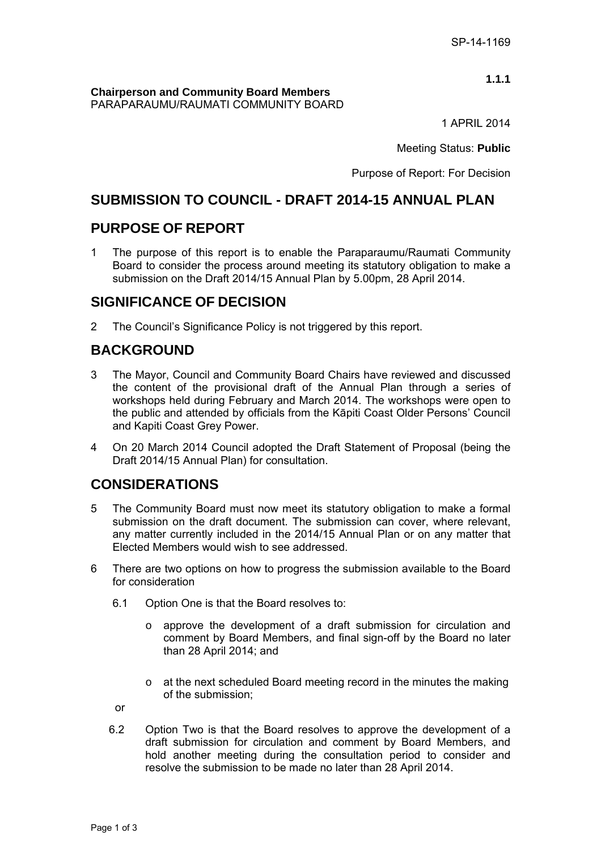**1.1.1**

**Chairperson and Community Board Members**  PARAPARAUMU/RAUMATI COMMUNITY BOARD

1 APRIL 2014

Meeting Status: **Public**

Purpose of Report: For Decision

# **SUBMISSION TO COUNCIL - DRAFT 2014-15 ANNUAL PLAN**

## **PURPOSE OF REPORT**

1 The purpose of this report is to enable the Paraparaumu/Raumati Community Board to consider the process around meeting its statutory obligation to make a submission on the Draft 2014/15 Annual Plan by 5.00pm, 28 April 2014.

## **SIGNIFICANCE OF DECISION**

2 The Council's Significance Policy is not triggered by this report.

# **BACKGROUND**

- 3 The Mayor, Council and Community Board Chairs have reviewed and discussed the content of the provisional draft of the Annual Plan through a series of workshops held during February and March 2014. The workshops were open to the public and attended by officials from the Kāpiti Coast Older Persons' Council and Kapiti Coast Grey Power.
- 4 On 20 March 2014 Council adopted the Draft Statement of Proposal (being the Draft 2014/15 Annual Plan) for consultation.

# **CONSIDERATIONS**

- 5 The Community Board must now meet its statutory obligation to make a formal submission on the draft document. The submission can cover, where relevant, any matter currently included in the 2014/15 Annual Plan or on any matter that Elected Members would wish to see addressed.
- 6 There are two options on how to progress the submission available to the Board for consideration
	- 6.1 Option One is that the Board resolves to:
		- o approve the development of a draft submission for circulation and comment by Board Members, and final sign-off by the Board no later than 28 April 2014; and
		- o at the next scheduled Board meeting record in the minutes the making of the submission;
	- or
	- 6.2 Option Two is that the Board resolves to approve the development of a draft submission for circulation and comment by Board Members, and hold another meeting during the consultation period to consider and resolve the submission to be made no later than 28 April 2014.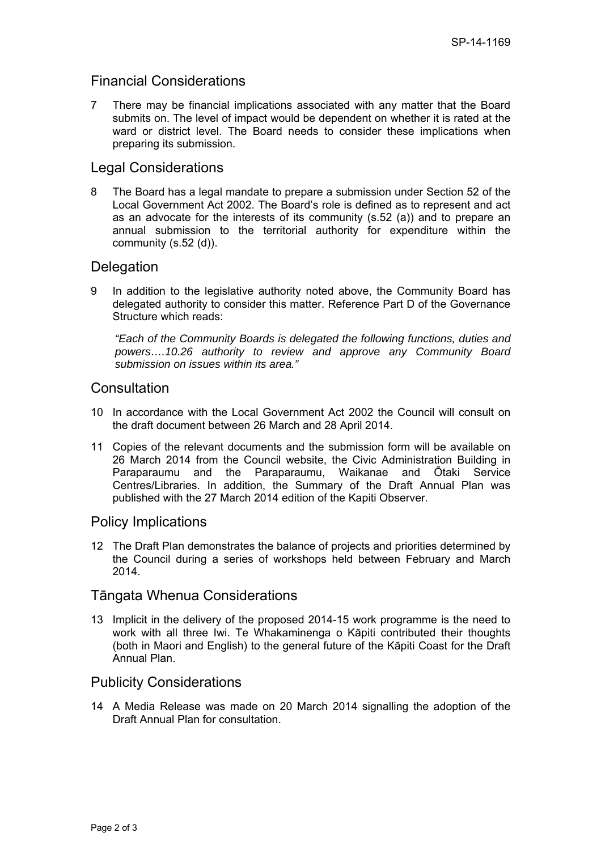## Financial Considerations

7 There may be financial implications associated with any matter that the Board submits on. The level of impact would be dependent on whether it is rated at the ward or district level. The Board needs to consider these implications when preparing its submission.

### Legal Considerations

8 The Board has a legal mandate to prepare a submission under Section 52 of the Local Government Act 2002. The Board's role is defined as to represent and act as an advocate for the interests of its community (s.52 (a)) and to prepare an annual submission to the territorial authority for expenditure within the community (s.52 (d)).

### **Delegation**

9 In addition to the legislative authority noted above, the Community Board has delegated authority to consider this matter. Reference Part D of the Governance Structure which reads:

*"Each of the Community Boards is delegated the following functions, duties and powers….10.26 authority to review and approve any Community Board submission on issues within its area."* 

### **Consultation**

- 10 In accordance with the Local Government Act 2002 the Council will consult on the draft document between 26 March and 28 April 2014.
- 11 Copies of the relevant documents and the submission form will be available on 26 March 2014 from the Council website, the Civic Administration Building in Paraparaumu and the Paraparaumu, Waikanae and Ōtaki Service Centres/Libraries. In addition, the Summary of the Draft Annual Plan was published with the 27 March 2014 edition of the Kapiti Observer.

### Policy Implications

12 The Draft Plan demonstrates the balance of projects and priorities determined by the Council during a series of workshops held between February and March 2014.

### Tāngata Whenua Considerations

13 Implicit in the delivery of the proposed 2014-15 work programme is the need to work with all three Iwi. Te Whakaminenga o Kāpiti contributed their thoughts (both in Maori and English) to the general future of the Kāpiti Coast for the Draft Annual Plan.

### Publicity Considerations

14 A Media Release was made on 20 March 2014 signalling the adoption of the Draft Annual Plan for consultation.